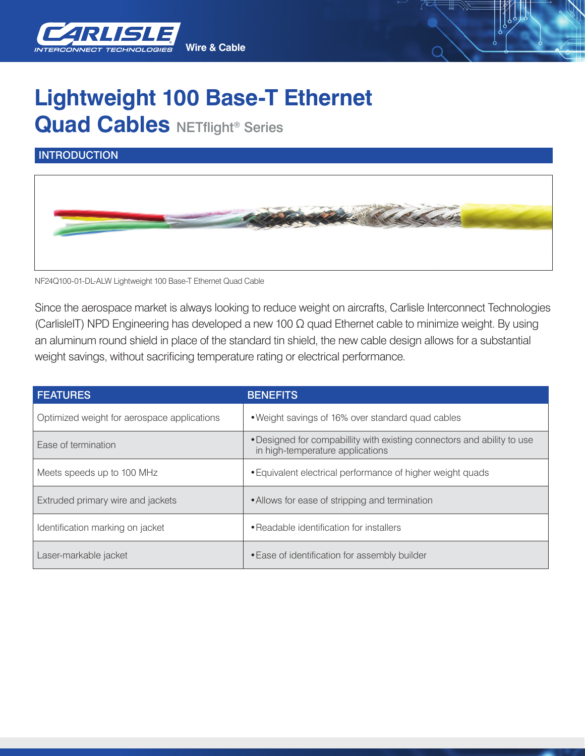

## **Lightweight 100 Base-T Ethernet Quad Cables NETflight® Series**

## **INTRODUCTION**



NF24Q100-01-DL-ALW Lightweight 100 Base-T Ethernet Quad Cable

Since the aerospace market is always looking to reduce weight on aircrafts, Carlisle Interconnect Technologies (CarlisleIT) NPD Engineering has developed a new 100 Ω quad Ethernet cable to minimize weight. By using an aluminum round shield in place of the standard tin shield, the new cable design allows for a substantial weight savings, without sacrificing temperature rating or electrical performance.

| <b>FEATURES</b>                             | <b>BENEFITS</b>                                                                                             |  |
|---------------------------------------------|-------------------------------------------------------------------------------------------------------------|--|
| Optimized weight for aerospace applications | • Weight savings of 16% over standard quad cables                                                           |  |
| Ease of termination                         | . Designed for compabillity with existing connectors and ability to use<br>in high-temperature applications |  |
| Meets speeds up to 100 MHz                  | • Equivalent electrical performance of higher weight quads                                                  |  |
| Extruded primary wire and jackets           | • Allows for ease of stripping and termination                                                              |  |
| Identification marking on jacket            | • Readable identification for installers                                                                    |  |
| Laser-markable jacket                       | • Ease of identification for assembly builder                                                               |  |